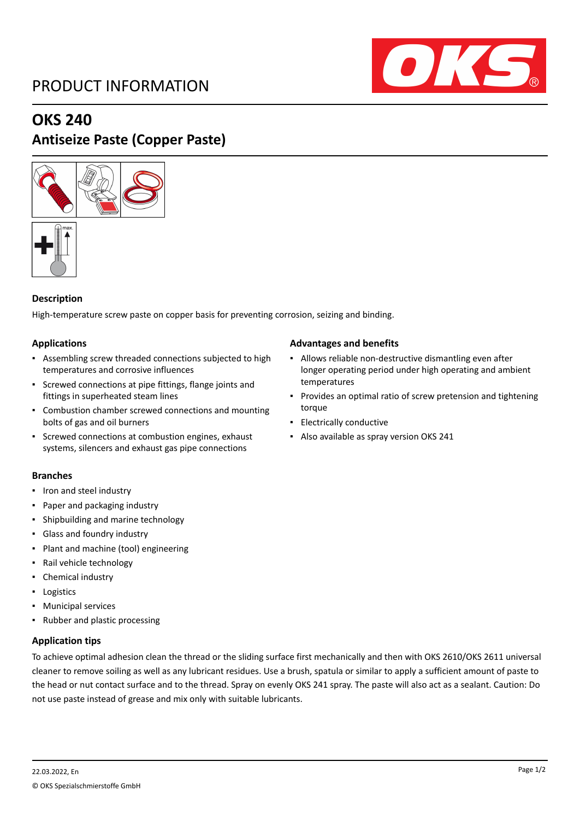# PRODUCT INFORMATION



## **OKS 240**

# **Antiseize Paste (Copper Paste)**





### **Description**

High-temperature screw paste on copper basis for preventing corrosion, seizing and binding.

### **Applications**

- Assembling screw threaded connections subjected to high temperatures and corrosive influences
- Screwed connections at pipe fittings, flange joints and fittings in superheated steam lines
- Combustion chamber screwed connections and mounting bolts of gas and oil burners
- Screwed connections at combustion engines, exhaust systems, silencers and exhaust gas pipe connections

### **Branches**

- Iron and steel industry
- Paper and packaging industry
- Shipbuilding and marine technology
- Glass and foundry industry
- Plant and machine (tool) engineering
- Rail vehicle technology
- Chemical industry
- Logistics
- Municipal services
- Rubber and plastic processing

### **Application tips**

To achieve optimal adhesion clean the thread or the sliding surface first mechanically and then with OKS 2610/OKS 2611 universal cleaner to remove soiling as well as any lubricant residues. Use a brush, spatula or similar to apply a sufficient amount of paste to the head or nut contact surface and to the thread. Spray on evenly OKS 241 spray. The paste will also act as a sealant. Caution: Do not use paste instead of grease and mix only with suitable lubricants.

### **Advantages and benefits**

- Allows reliable non-destructive dismantling even after longer operating period under high operating and ambient temperatures
- Provides an optimal ratio of screw pretension and tightening torque
- Electrically conductive
- Also available as spray version OKS 241